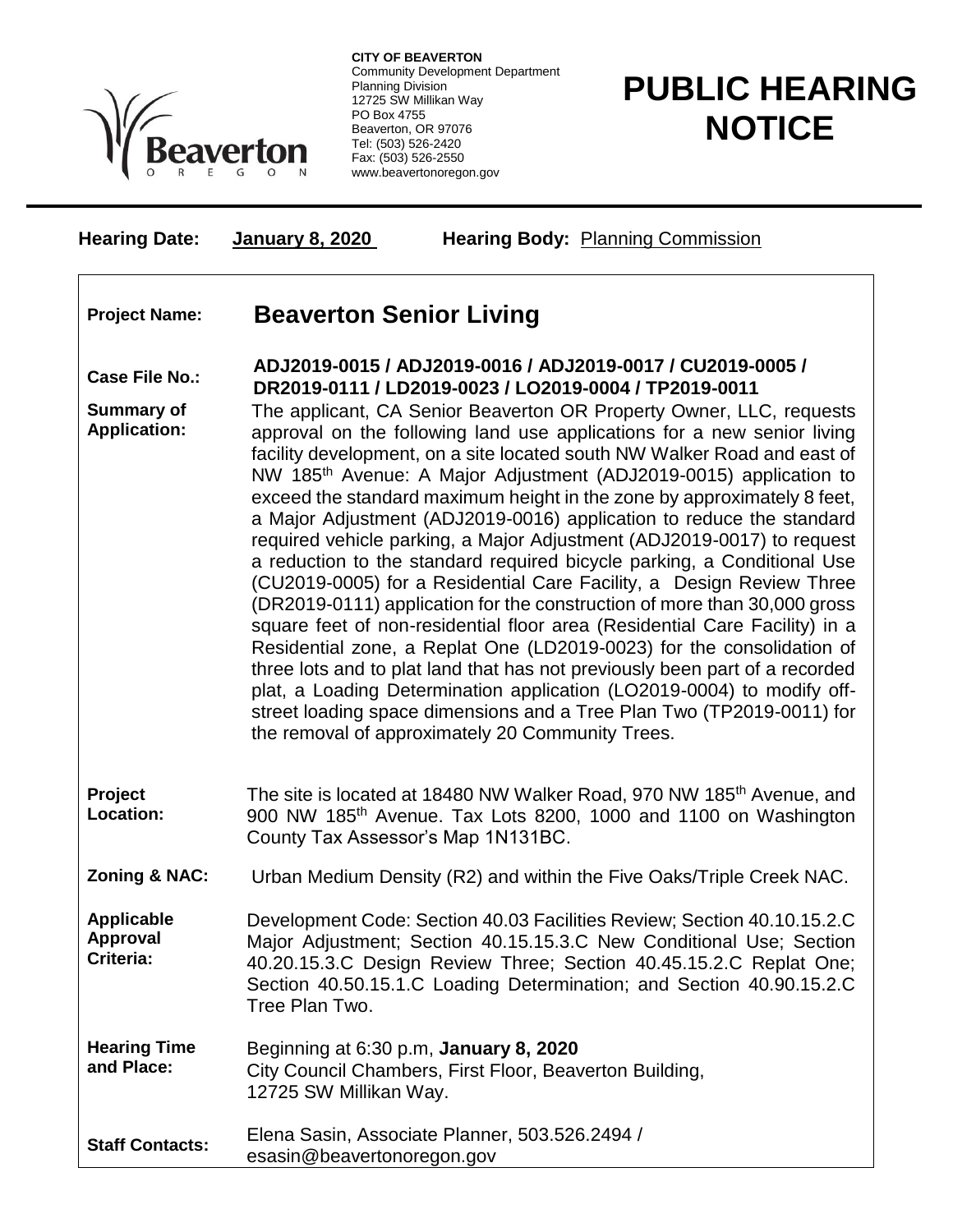

**CITY OF BEAVERTON** Community Development Department Planning Division 12725 SW Millikan Way PO Box 4755 Beaverton, OR 97076 Tel: (503) 526-2420 Fax: (503) 526-2550 www.beavertonoregon.gov

## **PUBLIC HEARING NOTICE**

| <b>Hearing Date:</b>                       | <b>Hearing Body: Planning Commission</b><br>January 8, 2020                                                                                                                                                                                                                                                                                                                                                                                                                                                                                                                                                                                                                                                                                                                                                                                                                                                                                                                                                                                                                                                                                                                                                          |  |
|--------------------------------------------|----------------------------------------------------------------------------------------------------------------------------------------------------------------------------------------------------------------------------------------------------------------------------------------------------------------------------------------------------------------------------------------------------------------------------------------------------------------------------------------------------------------------------------------------------------------------------------------------------------------------------------------------------------------------------------------------------------------------------------------------------------------------------------------------------------------------------------------------------------------------------------------------------------------------------------------------------------------------------------------------------------------------------------------------------------------------------------------------------------------------------------------------------------------------------------------------------------------------|--|
| <b>Project Name:</b>                       | <b>Beaverton Senior Living</b>                                                                                                                                                                                                                                                                                                                                                                                                                                                                                                                                                                                                                                                                                                                                                                                                                                                                                                                                                                                                                                                                                                                                                                                       |  |
| <b>Case File No.:</b>                      | ADJ2019-0015 / ADJ2019-0016 / ADJ2019-0017 / CU2019-0005 /<br>DR2019-0111 / LD2019-0023 / LO2019-0004 / TP2019-0011                                                                                                                                                                                                                                                                                                                                                                                                                                                                                                                                                                                                                                                                                                                                                                                                                                                                                                                                                                                                                                                                                                  |  |
| <b>Summary of</b><br><b>Application:</b>   | The applicant, CA Senior Beaverton OR Property Owner, LLC, requests<br>approval on the following land use applications for a new senior living<br>facility development, on a site located south NW Walker Road and east of<br>NW 185 <sup>th</sup> Avenue: A Major Adjustment (ADJ2019-0015) application to<br>exceed the standard maximum height in the zone by approximately 8 feet,<br>a Major Adjustment (ADJ2019-0016) application to reduce the standard<br>required vehicle parking, a Major Adjustment (ADJ2019-0017) to request<br>a reduction to the standard required bicycle parking, a Conditional Use<br>(CU2019-0005) for a Residential Care Facility, a Design Review Three<br>(DR2019-0111) application for the construction of more than 30,000 gross<br>square feet of non-residential floor area (Residential Care Facility) in a<br>Residential zone, a Replat One (LD2019-0023) for the consolidation of<br>three lots and to plat land that has not previously been part of a recorded<br>plat, a Loading Determination application (LO2019-0004) to modify off-<br>street loading space dimensions and a Tree Plan Two (TP2019-0011) for<br>the removal of approximately 20 Community Trees. |  |
| Project<br>Location:                       | The site is located at 18480 NW Walker Road, 970 NW 185 <sup>th</sup> Avenue, and<br>900 NW 185 <sup>th</sup> Avenue. Tax Lots 8200, 1000 and 1100 on Washington<br>County Tax Assessor's Map 1N131BC.                                                                                                                                                                                                                                                                                                                                                                                                                                                                                                                                                                                                                                                                                                                                                                                                                                                                                                                                                                                                               |  |
| <b>Zoning &amp; NAC:</b>                   | Urban Medium Density (R2) and within the Five Oaks/Triple Creek NAC.                                                                                                                                                                                                                                                                                                                                                                                                                                                                                                                                                                                                                                                                                                                                                                                                                                                                                                                                                                                                                                                                                                                                                 |  |
| <b>Applicable</b><br>Approval<br>Criteria: | Development Code: Section 40.03 Facilities Review; Section 40.10.15.2.C<br>Major Adjustment; Section 40.15.15.3.C New Conditional Use; Section<br>40.20.15.3.C Design Review Three; Section 40.45.15.2.C Replat One;<br>Section 40.50.15.1.C Loading Determination; and Section 40.90.15.2.C<br>Tree Plan Two.                                                                                                                                                                                                                                                                                                                                                                                                                                                                                                                                                                                                                                                                                                                                                                                                                                                                                                       |  |
| <b>Hearing Time</b><br>and Place:          | Beginning at 6:30 p.m, January 8, 2020<br>City Council Chambers, First Floor, Beaverton Building,<br>12725 SW Millikan Way.                                                                                                                                                                                                                                                                                                                                                                                                                                                                                                                                                                                                                                                                                                                                                                                                                                                                                                                                                                                                                                                                                          |  |
| <b>Staff Contacts:</b>                     | Elena Sasin, Associate Planner, 503.526.2494 /<br>esasin@beavertonoregon.gov                                                                                                                                                                                                                                                                                                                                                                                                                                                                                                                                                                                                                                                                                                                                                                                                                                                                                                                                                                                                                                                                                                                                         |  |